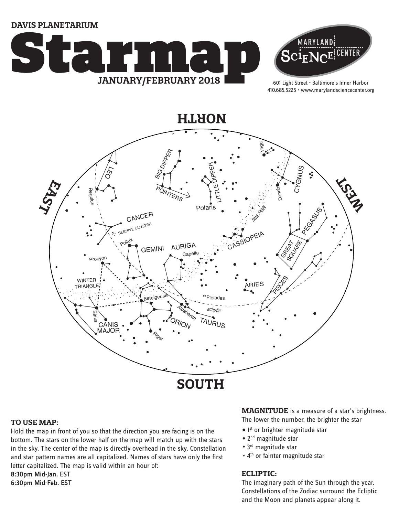**Davis Planetarium**





601 Light Street • Baltimore's Inner Harbor 410.685.5225 • www.marylandsciencecenter.org



#### **TO USE MAP:**

Hold the map in front of you so that the direction you are facing is on the bottom. The stars on the lower half on the map will match up with the stars in the sky. The center of the map is directly overhead in the sky. Constellation and star pattern names are all capitalized. Names of stars have only the first letter capitalized. The map is valid within an hour of: 8:30pm Mid-Jan. EST

6:30pm Mid-Feb. EST

#### **MAGNITUDE** is a measure of a star's brightness. The lower the number, the brighter the star

• 1<sup>st</sup> or brighter magnitude star

- 2<sup>nd</sup> magnitude star
- 3<sup>rd</sup> magnitude star
- 4<sup>th</sup> or fainter magnitude star

### **ECLIPTIC:**

The imaginary path of the Sun through the year. Constellations of the Zodiac surround the Ecliptic and the Moon and planets appear along it.